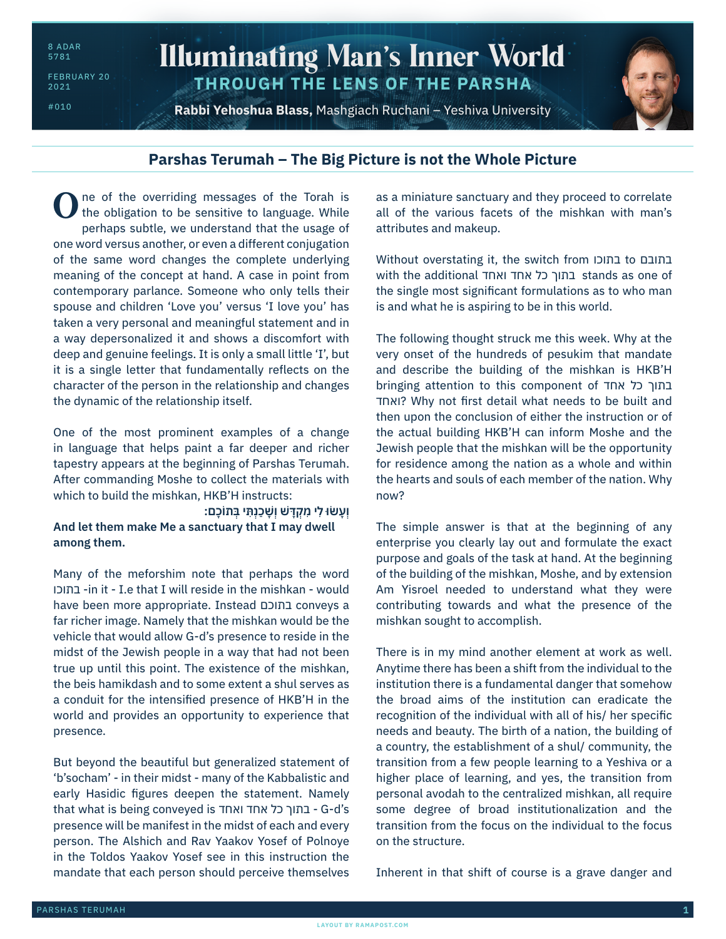8 ADAR 5781

FEBRUARY 20 2021

#010

## Illuminating Man's Inner World **THROUGH THE LENS OF THE PARSHA**

**Rabbi Yehoshua Blass,** Mashgiach Ruchani – Yeshiva University



## **Parshas Terumah – The Big Picture is not the Whole Picture**

ne of the overriding messages of the Torah is the obligation to be sensitive to language. While perhaps subtle, we understand that the usage of one word versus another, or even a different conjugation of the same word changes the complete underlying meaning of the concept at hand. A case in point from contemporary parlance. Someone who only tells their spouse and children 'Love you' versus 'I love you' has taken a very personal and meaningful statement and in a way depersonalized it and shows a discomfort with deep and genuine feelings. It is only a small little 'I', but it is a single letter that fundamentally reflects on the character of the person in the relationship and changes the dynamic of the relationship itself. O

One of the most prominent examples of a change in language that helps paint a far deeper and richer tapestry appears at the beginning of Parshas Terumah. After commanding Moshe to collect the materials with which to build the mishkan, HKB'H instructs:

**וְ עָ ׂשּו לִ י מִ קְ דָ ּ ׁש וְ שָׁ כַ נְ תִּ י בְּ תֹוכָ ם׃ And let them make Me a sanctuary that I may dwell among them.**

Many of the meforshim note that perhaps the word בתוכו -in it - I.e that I will reside in the mishkan - would have been more appropriate. Instead בתוכם conveys a far richer image. Namely that the mishkan would be the vehicle that would allow G-d's presence to reside in the midst of the Jewish people in a way that had not been true up until this point. The existence of the mishkan, the beis hamikdash and to some extent a shul serves as a conduit for the intensified presence of HKB'H in the world and provides an opportunity to experience that presence.

But beyond the beautiful but generalized statement of 'b'socham' - in their midst - many of the Kabbalistic and early Hasidic figures deepen the statement. Namely that what is being conveyed is ואחד אחד כל בתוך - G-d's presence will be manifest in the midst of each and every person. The Alshich and Rav Yaakov Yosef of Polnoye in the Toldos Yaakov Yosef see in this instruction the mandate that each person should perceive themselves

as a miniature sanctuary and they proceed to correlate all of the various facets of the mishkan with man's attributes and makeup.

Without overstating it, the switch from בתוכו to בתובם with the additional ואחד אחד כל בתוך stands as one of the single most significant formulations as to who man is and what he is aspiring to be in this world.

The following thought struck me this week. Why at the very onset of the hundreds of pesukim that mandate and describe the building of the mishkan is HKB'H bringing attention to this component of אחד כל בתוך ואחד ?Why not first detail what needs to be built and then upon the conclusion of either the instruction or of the actual building HKB'H can inform Moshe and the Jewish people that the mishkan will be the opportunity for residence among the nation as a whole and within the hearts and souls of each member of the nation. Why now?

The simple answer is that at the beginning of any enterprise you clearly lay out and formulate the exact purpose and goals of the task at hand. At the beginning of the building of the mishkan, Moshe, and by extension Am Yisroel needed to understand what they were contributing towards and what the presence of the mishkan sought to accomplish.

There is in my mind another element at work as well. Anytime there has been a shift from the individual to the institution there is a fundamental danger that somehow the broad aims of the institution can eradicate the recognition of the individual with all of his/ her specific needs and beauty. The birth of a nation, the building of a country, the establishment of a shul/ community, the transition from a few people learning to a Yeshiva or a higher place of learning, and yes, the transition from personal avodah to the centralized mishkan, all require some degree of broad institutionalization and the transition from the focus on the individual to the focus on the structure.

Inherent in that shift of course is a grave danger and